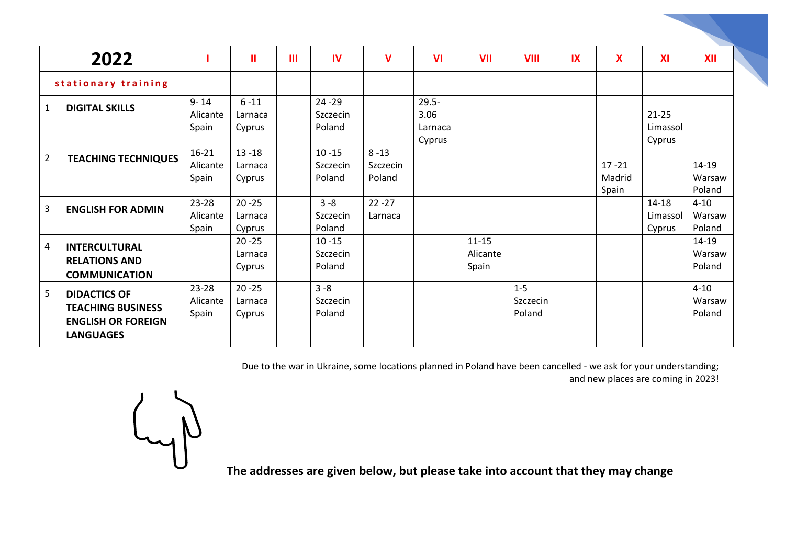|                     | 2022                                                                                             |                                | $\mathbf{u}$                   | $\mathbf{III}$ | <b>IV</b>                       | V                              | $\mathbf{V}$                          | VII                            | <b>VIII</b>                 | $\overline{\mathbf{X}}$ | $\overline{\mathbf{X}}$      | XI                              | <b>XII</b>                   |
|---------------------|--------------------------------------------------------------------------------------------------|--------------------------------|--------------------------------|----------------|---------------------------------|--------------------------------|---------------------------------------|--------------------------------|-----------------------------|-------------------------|------------------------------|---------------------------------|------------------------------|
| stationary training |                                                                                                  |                                |                                |                |                                 |                                |                                       |                                |                             |                         |                              |                                 |                              |
| 1                   | <b>DIGITAL SKILLS</b>                                                                            | $9 - 14$<br>Alicante<br>Spain  | $6 - 11$<br>Larnaca<br>Cyprus  |                | $24 - 29$<br>Szczecin<br>Poland |                                | $29.5 -$<br>3.06<br>Larnaca<br>Cyprus |                                |                             |                         |                              | $21 - 25$<br>Limassol<br>Cyprus |                              |
| $\overline{2}$      | <b>TEACHING TECHNIQUES</b>                                                                       | $16-21$<br>Alicante<br>Spain   | $13 - 18$<br>Larnaca<br>Cyprus |                | $10 - 15$<br>Szczecin<br>Poland | $8 - 13$<br>Szczecin<br>Poland |                                       |                                |                             |                         | $17 - 21$<br>Madrid<br>Spain |                                 | 14-19<br>Warsaw<br>Poland    |
| 3                   | <b>ENGLISH FOR ADMIN</b>                                                                         | 23-28<br>Alicante<br>Spain     | $20 - 25$<br>Larnaca<br>Cyprus |                | $3 - 8$<br>Szczecin<br>Poland   | $22 - 27$<br>Larnaca           |                                       |                                |                             |                         |                              | $14 - 18$<br>Limassol<br>Cyprus | $4 - 10$<br>Warsaw<br>Poland |
| 4                   | <b>INTERCULTURAL</b><br><b>RELATIONS AND</b><br><b>COMMUNICATION</b>                             |                                | $20 - 25$<br>Larnaca<br>Cyprus |                | $10 - 15$<br>Szczecin<br>Poland |                                |                                       | $11 - 15$<br>Alicante<br>Spain |                             |                         |                              |                                 | 14-19<br>Warsaw<br>Poland    |
| 5                   | <b>DIDACTICS OF</b><br><b>TEACHING BUSINESS</b><br><b>ENGLISH OR FOREIGN</b><br><b>LANGUAGES</b> | $23 - 28$<br>Alicante<br>Spain | $20 - 25$<br>Larnaca<br>Cyprus |                | $3 - 8$<br>Szczecin<br>Poland   |                                |                                       |                                | $1-5$<br>Szczecin<br>Poland |                         |                              |                                 | $4 - 10$<br>Warsaw<br>Poland |

Due to the war in Ukraine, some locations planned in Poland have been cancelled - we ask for your understanding; and new places are coming in 2023!

 $L_{1}$ 

**The addresses are given below, but please take into account that they may change**